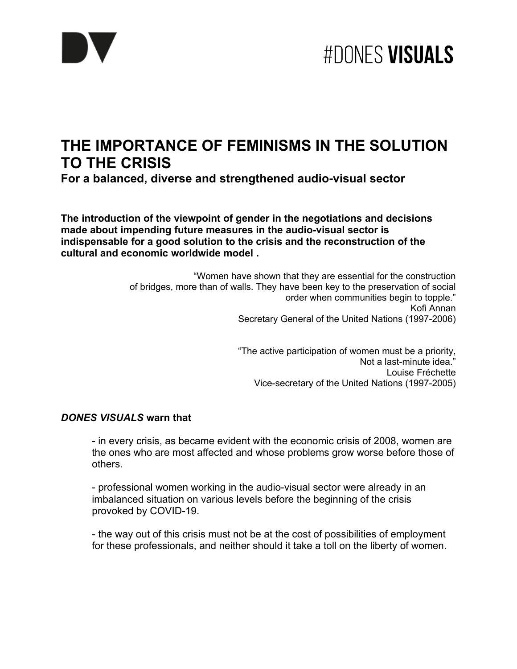

### **THE IMPORTANCE OF FEMINISMS IN THE SOLUTION TO THE CRISIS**

**For a balanced, diverse and strengthened audio-visual sector** 

**The introduction of the viewpoint of gender in the negotiations and decisions made about impending future measures in the audio-visual sector is indispensable for a good solution to the crisis and the reconstruction of the cultural and economic worldwide model .**

> "Women have shown that they are essential for the construction of bridges, more than of walls. They have been key to the preservation of social order when communities begin to topple." Kofi Annan Secretary General of the United Nations (1997-2006)

> > "The active participation of women must be a priority, Not a last-minute idea." Louise Fréchette Vice-secretary of the United Nations (1997-2005)

#### *DONES VISUALS* **warn that**

- in every crisis, as became evident with the economic crisis of 2008, women are the ones who are most affected and whose problems grow worse before those of others.

- professional women working in the audio-visual sector were already in an imbalanced situation on various levels before the beginning of the crisis provoked by COVID-19.

- the way out of this crisis must not be at the cost of possibilities of employment for these professionals, and neither should it take a toll on the liberty of women.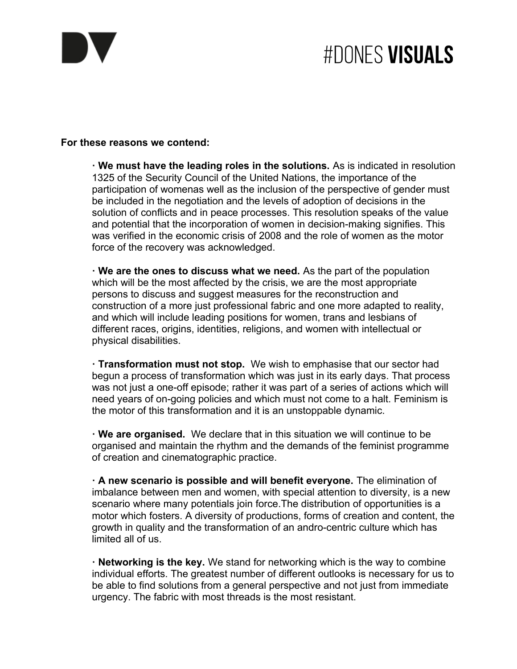

# **#DONES VISUALS**

#### **For these reasons we contend:**

**· We must have the leading roles in the solutions.** As is indicated in resolution 1325 of the Security Council of the United Nations, the importance of the participation of womenas well as the inclusion of the perspective of gender must be included in the negotiation and the levels of adoption of decisions in the solution of conflicts and in peace processes. This resolution speaks of the value and potential that the incorporation of women in decision-making signifies. This was verified in the economic crisis of 2008 and the role of women as the motor force of the recovery was acknowledged.

**· We are the ones to discuss what we need.** As the part of the population which will be the most affected by the crisis, we are the most appropriate persons to discuss and suggest measures for the reconstruction and construction of a more just professional fabric and one more adapted to reality, and which will include leading positions for women, trans and lesbians of different races, origins, identities, religions, and women with intellectual or physical disabilities.

**· Transformation must not stop.** We wish to emphasise that our sector had begun a process of transformation which was just in its early days. That process was not just a one-off episode; rather it was part of a series of actions which will need years of on-going policies and which must not come to a halt. Feminism is the motor of this transformation and it is an unstoppable dynamic.

**· We are organised.** We declare that in this situation we will continue to be organised and maintain the rhythm and the demands of the feminist programme of creation and cinematographic practice.

**· A new scenario is possible and will benefit everyone.** The elimination of imbalance between men and women, with special attention to diversity, is a new scenario where many potentials join force.The distribution of opportunities is a motor which fosters. A diversity of productions, forms of creation and content, the growth in quality and the transformation of an andro-centric culture which has limited all of us.

**· Networking is the key.** We stand for networking which is the way to combine individual efforts. The greatest number of different outlooks is necessary for us to be able to find solutions from a general perspective and not just from immediate urgency. The fabric with most threads is the most resistant.